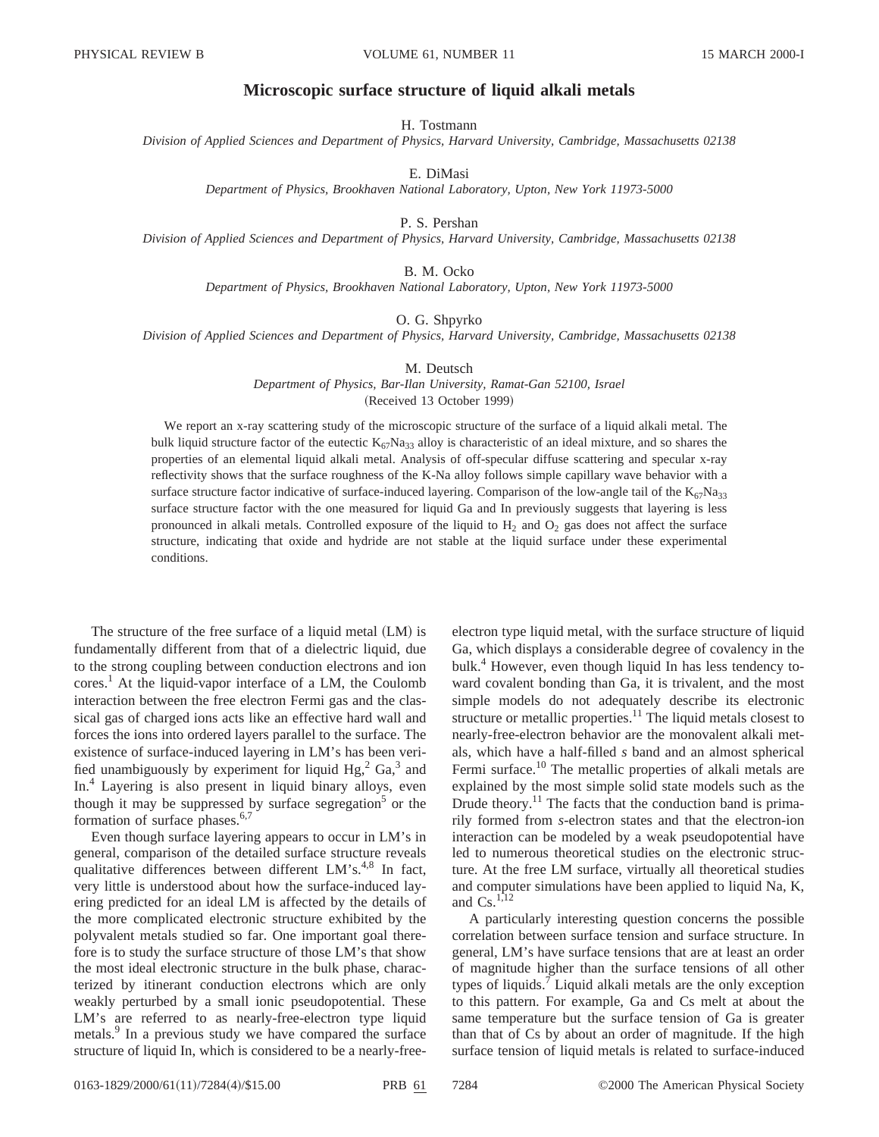## **Microscopic surface structure of liquid alkali metals**

H. Tostmann

*Division of Applied Sciences and Department of Physics, Harvard University, Cambridge, Massachusetts 02138*

E. DiMasi

*Department of Physics, Brookhaven National Laboratory, Upton, New York 11973-5000*

P. S. Pershan

*Division of Applied Sciences and Department of Physics, Harvard University, Cambridge, Massachusetts 02138*

B. M. Ocko

*Department of Physics, Brookhaven National Laboratory, Upton, New York 11973-5000*

O. G. Shpyrko

*Division of Applied Sciences and Department of Physics, Harvard University, Cambridge, Massachusetts 02138*

M. Deutsch

*Department of Physics, Bar-Ilan University, Ramat-Gan 52100, Israel* (Received 13 October 1999)

We report an x-ray scattering study of the microscopic structure of the surface of a liquid alkali metal. The bulk liquid structure factor of the eutectic  $K_{67}Na_{33}$  alloy is characteristic of an ideal mixture, and so shares the properties of an elemental liquid alkali metal. Analysis of off-specular diffuse scattering and specular x-ray reflectivity shows that the surface roughness of the K-Na alloy follows simple capillary wave behavior with a surface structure factor indicative of surface-induced layering. Comparison of the low-angle tail of the  $K_{67}Na_{33}$ surface structure factor with the one measured for liquid Ga and In previously suggests that layering is less pronounced in alkali metals. Controlled exposure of the liquid to  $H_2$  and  $O_2$  gas does not affect the surface structure, indicating that oxide and hydride are not stable at the liquid surface under these experimental conditions.

The structure of the free surface of a liquid metal  $(LM)$  is fundamentally different from that of a dielectric liquid, due to the strong coupling between conduction electrons and ion cores.<sup>1</sup> At the liquid-vapor interface of a LM, the Coulomb interaction between the free electron Fermi gas and the classical gas of charged ions acts like an effective hard wall and forces the ions into ordered layers parallel to the surface. The existence of surface-induced layering in LM's has been verified unambiguously by experiment for liquid  $Hg<sub>1</sub><sup>2</sup> Ga<sub>1</sub><sup>3</sup>$  and In.<sup>4</sup> Layering is also present in liquid binary alloys, even though it may be suppressed by surface segregation<sup>5</sup> or the formation of surface phases. $6,7$ 

Even though surface layering appears to occur in LM's in general, comparison of the detailed surface structure reveals qualitative differences between different  $LM's^{4,8}$  In fact, very little is understood about how the surface-induced layering predicted for an ideal LM is affected by the details of the more complicated electronic structure exhibited by the polyvalent metals studied so far. One important goal therefore is to study the surface structure of those LM's that show the most ideal electronic structure in the bulk phase, characterized by itinerant conduction electrons which are only weakly perturbed by a small ionic pseudopotential. These LM's are referred to as nearly-free-electron type liquid metals.<sup>9</sup> In a previous study we have compared the surface structure of liquid In, which is considered to be a nearly-free-

electron type liquid metal, with the surface structure of liquid Ga, which displays a considerable degree of covalency in the bulk.<sup>4</sup> However, even though liquid In has less tendency toward covalent bonding than Ga, it is trivalent, and the most simple models do not adequately describe its electronic structure or metallic properties. $11$  The liquid metals closest to nearly-free-electron behavior are the monovalent alkali metals, which have a half-filled *s* band and an almost spherical Fermi surface.<sup>10</sup> The metallic properties of alkali metals are explained by the most simple solid state models such as the Drude theory.<sup>11</sup> The facts that the conduction band is primarily formed from *s*-electron states and that the electron-ion interaction can be modeled by a weak pseudopotential have led to numerous theoretical studies on the electronic structure. At the free LM surface, virtually all theoretical studies and computer simulations have been applied to liquid Na, K, and  $Cs.$ <sup>1,12</sup>

A particularly interesting question concerns the possible correlation between surface tension and surface structure. In general, LM's have surface tensions that are at least an order of magnitude higher than the surface tensions of all other types of liquids.<sup>7</sup> Liquid alkali metals are the only exception to this pattern. For example, Ga and Cs melt at about the same temperature but the surface tension of Ga is greater than that of Cs by about an order of magnitude. If the high surface tension of liquid metals is related to surface-induced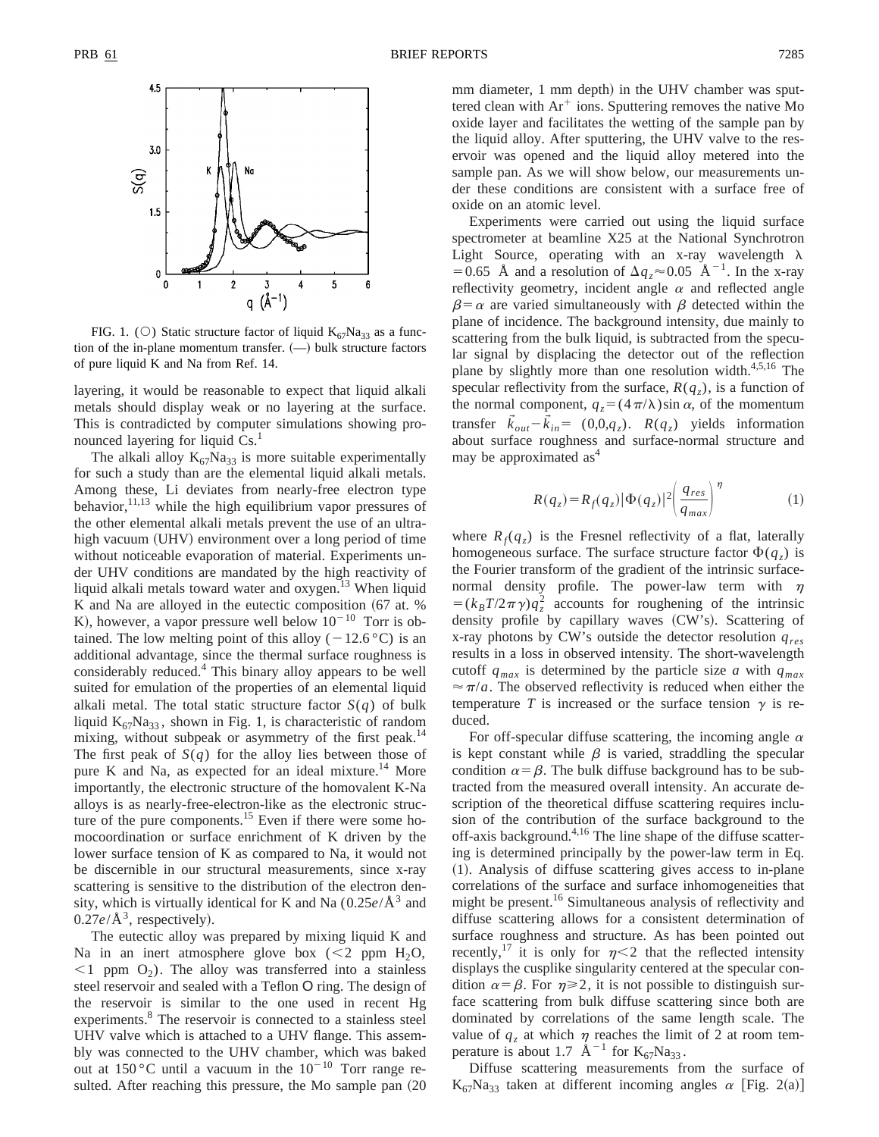

FIG. 1. (O) Static structure factor of liquid  $K_{67}Na_{33}$  as a function of the in-plane momentum transfer.  $(-)$  bulk structure factors of pure liquid K and Na from Ref. 14.

layering, it would be reasonable to expect that liquid alkali metals should display weak or no layering at the surface. This is contradicted by computer simulations showing pronounced layering for liquid  $Cs<sup>1</sup>$ .

The alkali alloy  $K_{67}Na_{33}$  is more suitable experimentally for such a study than are the elemental liquid alkali metals. Among these, Li deviates from nearly-free electron type behavior,  $^{11,13}$  while the high equilibrium vapor pressures of the other elemental alkali metals prevent the use of an ultrahigh vacuum (UHV) environment over a long period of time without noticeable evaporation of material. Experiments under UHV conditions are mandated by the high reactivity of liquid alkali metals toward water and oxygen.<sup>13</sup> When liquid K and Na are alloyed in the eutectic composition  $(67 \text{ at. } %$ K), however, a vapor pressure well below  $10^{-10}$  Torr is obtained. The low melting point of this alloy  $(-12.6 \degree C)$  is an additional advantage, since the thermal surface roughness is considerably reduced.4 This binary alloy appears to be well suited for emulation of the properties of an elemental liquid alkali metal. The total static structure factor  $S(q)$  of bulk liquid  $K_{67}Na_{33}$ , shown in Fig. 1, is characteristic of random mixing, without subpeak or asymmetry of the first peak.<sup>14</sup> The first peak of  $S(q)$  for the alloy lies between those of pure K and Na, as expected for an ideal mixture.<sup>14</sup> More importantly, the electronic structure of the homovalent K-Na alloys is as nearly-free-electron-like as the electronic structure of the pure components.<sup>15</sup> Even if there were some homocoordination or surface enrichment of K driven by the lower surface tension of K as compared to Na, it would not be discernible in our structural measurements, since x-ray scattering is sensitive to the distribution of the electron density, which is virtually identical for K and Na  $(0.25e/\text{\AA}^3$  and  $0.27e/\text{\AA}^3$ , respectively).

The eutectic alloy was prepared by mixing liquid K and Na in an inert atmosphere glove box  $(< 2$  ppm H<sub>2</sub>O,  $\leq$ 1 ppm O<sub>2</sub>). The alloy was transferred into a stainless steel reservoir and sealed with a Teflon O ring. The design of the reservoir is similar to the one used in recent Hg experiments.<sup>8</sup> The reservoir is connected to a stainless steel UHV valve which is attached to a UHV flange. This assembly was connected to the UHV chamber, which was baked out at 150 °C until a vacuum in the  $10^{-10}$  Torr range resulted. After reaching this pressure, the Mo sample pan  $(20)$  mm diameter, 1 mm depth) in the UHV chamber was sputtered clean with  $Ar^+$  ions. Sputtering removes the native Mo oxide layer and facilitates the wetting of the sample pan by the liquid alloy. After sputtering, the UHV valve to the reservoir was opened and the liquid alloy metered into the sample pan. As we will show below, our measurements under these conditions are consistent with a surface free of oxide on an atomic level.

Experiments were carried out using the liquid surface spectrometer at beamline X25 at the National Synchrotron Light Source, operating with an x-ray wavelength  $\lambda$ =0.65 Å and a resolution of  $\Delta q_z \approx 0.05$  Å<sup>-1</sup>. In the x-ray reflectivity geometry, incident angle  $\alpha$  and reflected angle  $\beta = \alpha$  are varied simultaneously with  $\beta$  detected within the plane of incidence. The background intensity, due mainly to scattering from the bulk liquid, is subtracted from the specular signal by displacing the detector out of the reflection plane by slightly more than one resolution width.<sup>4,5,16</sup> The specular reflectivity from the surface,  $R(q_z)$ , is a function of the normal component,  $q_z = (4\pi/\lambda)\sin \alpha$ , of the momentum transfer  $\vec{k}_{out} - \vec{k}_{in} = (0,0,q_z)$ .  $R(q_z)$  yields information about surface roughness and surface-normal structure and may be approximated as<sup>4</sup>

$$
R(q_z) = R_f(q_z) |\Phi(q_z)|^2 \left(\frac{q_{res}}{q_{max}}\right)^{\eta}
$$
 (1)

where  $R_f(q_z)$  is the Fresnel reflectivity of a flat, laterally homogeneous surface. The surface structure factor  $\Phi(q_z)$  is the Fourier transform of the gradient of the intrinsic surfacenormal density profile. The power-law term with  $\eta$  $=(k_B T/2\pi \gamma)q_z^2$  accounts for roughening of the intrinsic density profile by capillary waves (CW's). Scattering of x-ray photons by CW's outside the detector resolution *qres* results in a loss in observed intensity. The short-wavelength cutoff  $q_{max}$  is determined by the particle size *a* with  $q_{max}$  $\approx \pi/a$ . The observed reflectivity is reduced when either the temperature *T* is increased or the surface tension  $\gamma$  is reduced.

For off-specular diffuse scattering, the incoming angle  $\alpha$ is kept constant while  $\beta$  is varied, straddling the specular condition  $\alpha = \beta$ . The bulk diffuse background has to be subtracted from the measured overall intensity. An accurate description of the theoretical diffuse scattering requires inclusion of the contribution of the surface background to the off-axis background. $4,16$  The line shape of the diffuse scattering is determined principally by the power-law term in Eq. ~1!. Analysis of diffuse scattering gives access to in-plane correlations of the surface and surface inhomogeneities that might be present.<sup>16</sup> Simultaneous analysis of reflectivity and diffuse scattering allows for a consistent determination of surface roughness and structure. As has been pointed out recently,<sup>17</sup> it is only for  $\eta$ <2 that the reflected intensity displays the cusplike singularity centered at the specular condition  $\alpha = \beta$ . For  $\eta \ge 2$ , it is not possible to distinguish surface scattering from bulk diffuse scattering since both are dominated by correlations of the same length scale. The value of  $q_z$  at which  $\eta$  reaches the limit of 2 at room temperature is about 1.7  $\text{\AA}^{-1}$  for K<sub>67</sub>Na<sub>33</sub>.

Diffuse scattering measurements from the surface of  $K_{67}Na_{33}$  taken at different incoming angles  $\alpha$  [Fig. 2(a)]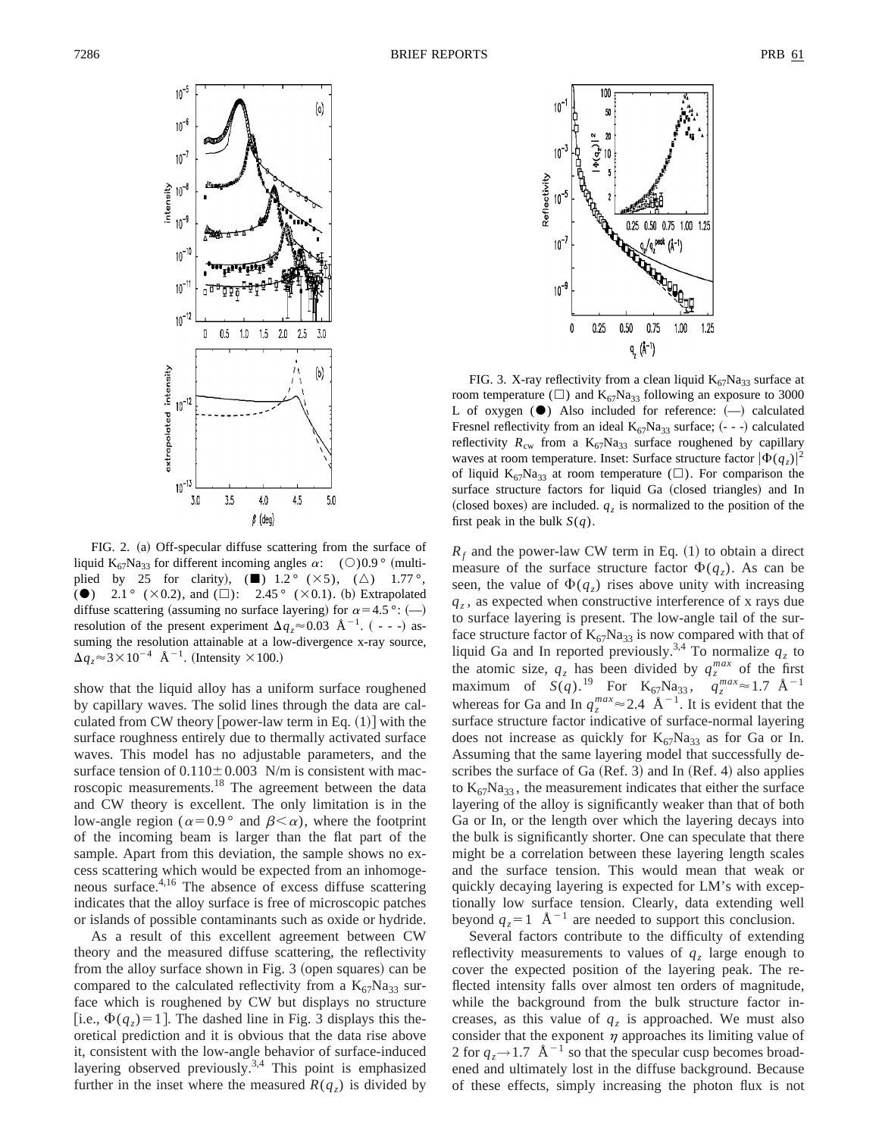

FIG. 2. (a) Off-specular diffuse scattering from the surface of liquid K<sub>67</sub>Na<sub>33</sub> for different incoming angles  $\alpha$ : (○)0.9 ° (multiplied by 25 for clarity),  $(\blacksquare)$  1.2° ( $\times$ 5), ( $\triangle$ ) 1.77°, ( $\bullet$ ) 2.1° ( $\times$  0.2), and ( $\square$ ): 2.45° ( $\times$  0.1). (b) Extrapolated diffuse scattering (assuming no surface layering) for  $\alpha=4.5$  °: (--) resolution of the present experiment  $\Delta q_z \approx 0.03$  Å<sup>-1</sup>. (---) assuming the resolution attainable at a low-divergence x-ray source,  $\Delta q_z \approx 3 \times 10^{-4}$  Å<sup>-1</sup>. (Intensity  $\times 100$ .)

show that the liquid alloy has a uniform surface roughened by capillary waves. The solid lines through the data are calculated from CW theory [power-law term in Eq.  $(1)$ ] with the surface roughness entirely due to thermally activated surface waves. This model has no adjustable parameters, and the surface tension of  $0.110 \pm 0.003$  N/m is consistent with macroscopic measurements.18 The agreement between the data and CW theory is excellent. The only limitation is in the low-angle region ( $\alpha=0.9$ ° and  $\beta<\alpha$ ), where the footprint of the incoming beam is larger than the flat part of the sample. Apart from this deviation, the sample shows no excess scattering which would be expected from an inhomogeneous surface.4,16 The absence of excess diffuse scattering indicates that the alloy surface is free of microscopic patches or islands of possible contaminants such as oxide or hydride.

As a result of this excellent agreement between CW theory and the measured diffuse scattering, the reflectivity from the alloy surface shown in Fig.  $3$  (open squares) can be compared to the calculated reflectivity from a  $K_{67}Na_{33}$  surface which is roughened by CW but displays no structure [i.e.,  $\Phi(q_z) = 1$ ]. The dashed line in Fig. 3 displays this theoretical prediction and it is obvious that the data rise above it, consistent with the low-angle behavior of surface-induced layering observed previously.3,4 This point is emphasized further in the inset where the measured  $R(q<sub>z</sub>)$  is divided by



FIG. 3. X-ray reflectivity from a clean liquid  $K_{67}Na_{33}$  surface at room temperature ( $\square$ ) and K<sub>67</sub>Na<sub>33</sub> following an exposure to 3000 L of oxygen  $(\bullet)$  Also included for reference:  $(-)$  calculated Fresnel reflectivity from an ideal  $K_{67}Na_{33}$  surface; (- - -) calculated reflectivity  $R_{\text{cw}}$  from a  $K_{67}Na_{33}$  surface roughened by capillary waves at room temperature. Inset: Surface structure factor  $|\Phi(q_z)|^2$ of liquid  $K_{67}Na_{33}$  at room temperature ( $\square$ ). For comparison the surface structure factors for liquid Ga (closed triangles) and In (closed boxes) are included.  $q_z$  is normalized to the position of the first peak in the bulk  $S(q)$ .

 $R_f$  and the power-law CW term in Eq.  $(1)$  to obtain a direct measure of the surface structure factor  $\Phi(q_z)$ . As can be seen, the value of  $\Phi(q_z)$  rises above unity with increasing  $q<sub>z</sub>$ , as expected when constructive interference of x rays due to surface layering is present. The low-angle tail of the surface structure factor of  $K_{67}Na_{33}$  is now compared with that of liquid Ga and In reported previously.<sup>3,4</sup> To normalize  $q_z$  to the atomic size,  $q_z$  has been divided by  $q_z^{max}$  of the first maximum of  $S(q)$ .<sup>19</sup> For  $K_{67}Na_{33}$ ,  $q_z^{max} \approx 1.7 \text{ Å}^{-1}$ whereas for Ga and In  $q_z^{max} \approx 2.4 \text{ \AA}^{-1}$ . It is evident that the surface structure factor indicative of surface-normal layering does not increase as quickly for  $K_{67}Na_{33}$  as for Ga or In. Assuming that the same layering model that successfully describes the surface of Ga  $(Ref. 3)$  and In  $(Ref. 4)$  also applies to  $K_{67}Na_{33}$ , the measurement indicates that either the surface layering of the alloy is significantly weaker than that of both Ga or In, or the length over which the layering decays into the bulk is significantly shorter. One can speculate that there might be a correlation between these layering length scales and the surface tension. This would mean that weak or quickly decaying layering is expected for LM's with exceptionally low surface tension. Clearly, data extending well beyond  $q_z = 1$   $\text{\AA}^{-1}$  are needed to support this conclusion.

Several factors contribute to the difficulty of extending reflectivity measurements to values of  $q<sub>z</sub>$  large enough to cover the expected position of the layering peak. The reflected intensity falls over almost ten orders of magnitude, while the background from the bulk structure factor increases, as this value of  $q<sub>z</sub>$  is approached. We must also consider that the exponent  $\eta$  approaches its limiting value of 2 for  $q \rightarrow 1.7 \text{ \AA}^{-1}$  so that the specular cusp becomes broadened and ultimately lost in the diffuse background. Because of these effects, simply increasing the photon flux is not